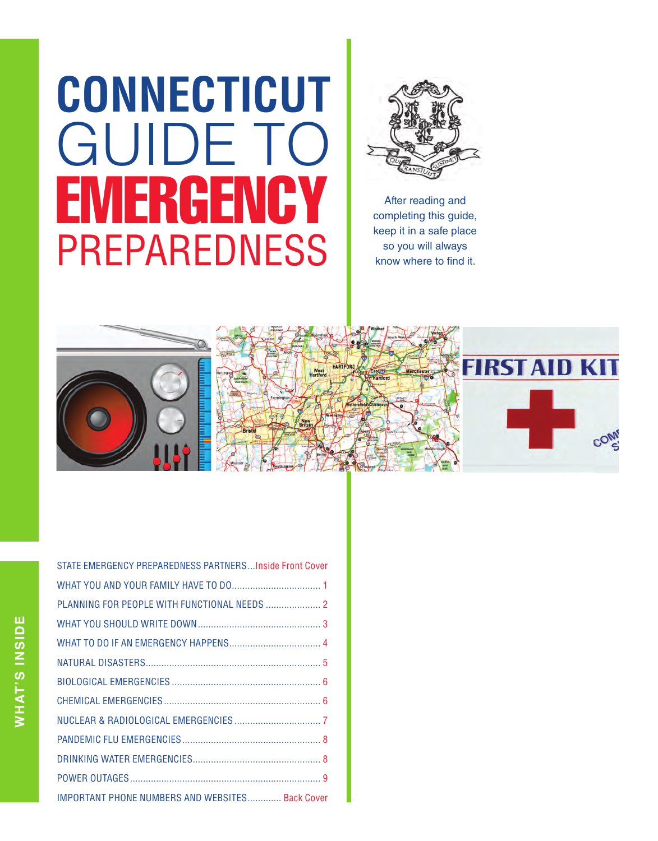# **CONNECTICUT GUIDE TO<br>EMERGENCY** PREPAREDNESS



After reading and completing this guide, keep it in a safe place so you will always know where to find it.



| STATE EMERGENCY PREPAREDNESS PARTNERSInside Front Cover |  |
|---------------------------------------------------------|--|
|                                                         |  |
| PLANNING FOR PEOPLE WITH FUNCTIONAL NEEDS  2            |  |
|                                                         |  |
|                                                         |  |
|                                                         |  |
|                                                         |  |
|                                                         |  |
|                                                         |  |
|                                                         |  |
|                                                         |  |
|                                                         |  |
| <b>IMPORTANT PHONE NUMBERS AND WEBSITES Back Cover</b>  |  |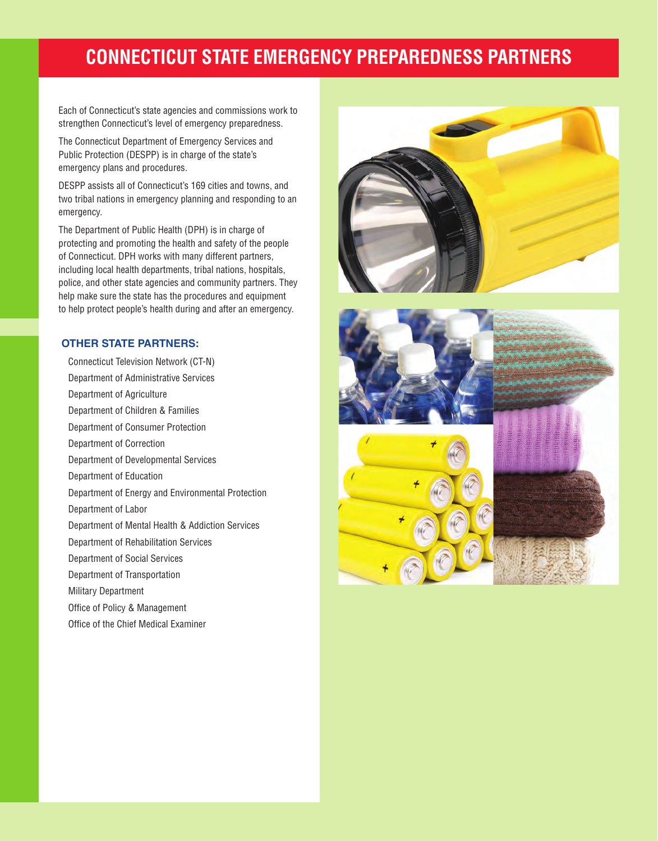## **CONNECTICUT STATE EMERGENCY PREPAREDNESS PARTNERS**

Each of Connecticut's state agencies and commissions work to strengthen Connecticut's level of emergency preparedness.

The Connecticut Department of Emergency Services and Public Protection (DESPP) is in charge of the state's emergency plans and procedures.

DESPP assists all of Connecticut's 169 cities and towns, and two tribal nations in emergency planning and responding to an emergency.

The Department of Public Health (DPH) is in charge of protecting and promoting the health and safety of the people of Connecticut. DPH works with many different partners, including local health departments, tribal nations, hospitals, police, and other state agencies and community partners. They help make sure the state has the procedures and equipment to help protect people's health during and after an emergency.

#### **OTHER STATE PARTNERS:**

 Connecticut Television Network (CT-N) Department of Administrative Services Department of Agriculture Department of Children & Families Department of Consumer Protection Department of Correction Department of Developmental Services Department of Education Department of Energy and Environmental Protection Department of Labor Department of Mental Health & Addiction Services Department of Rehabilitation Services Department of Social Services Department of Transportation Military Department Office of Policy & Management Office of the Chief Medical Examiner



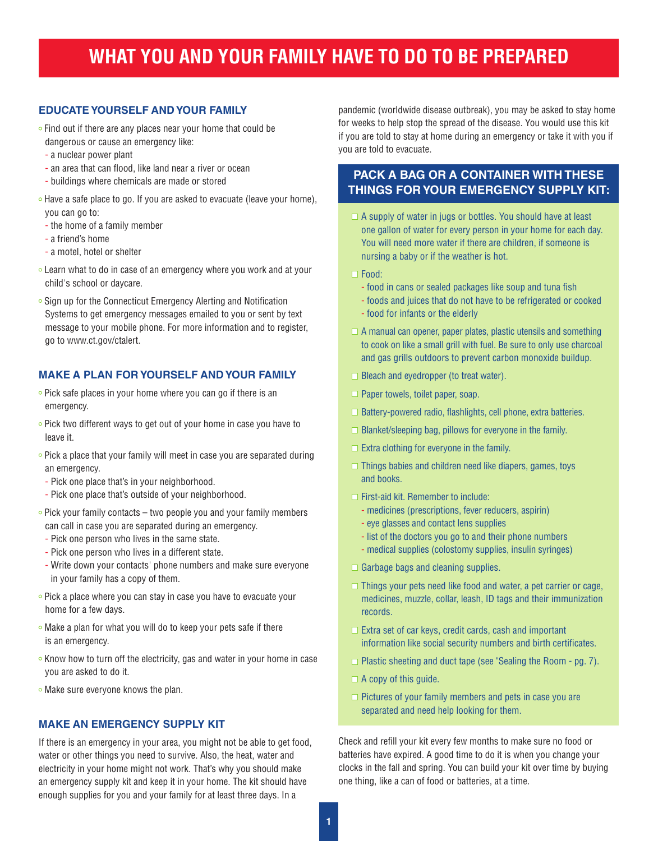## **WHAT YOU AND YOUR FAMILY HAVE TO DO TO BE PREPARED**

#### **EDUCATE YOURSELF AND YOUR FAMILY**

- Find out if there are any places near your home that could be dangerous or cause an emergency like:
- a nuclear power plant
- an area that can flood, like land near a river or ocean
- buildings where chemicals are made or stored
- Have a safe place to go. If you are asked to evacuate (leave your home), you can go to:
- the home of a family member
- a friend's home
- a motel, hotel or shelter
- **Learn what to do in case of an emergency where you work and at your** child's school or daycare.
- Sign up for the Connecticut Emergency Alerting and Notification Systems to get emergency messages emailed to you or sent by text message to your mobile phone. For more information and to register, go to www.ct.gov/ctalert.

#### **MAKE A PLAN FOR YOURSELF AND YOUR FAMILY**

- $\circ$  Pick safe places in your home where you can go if there is an emergency.
- Pick two different ways to get out of your home in case you have to leave it.
- Pick a place that your family will meet in case you are separated during an emergency.
- Pick one place that's in your neighborhood.
- Pick one place that's outside of your neighborhood.
- $\circ$  Pick your family contacts two people you and your family members can call in case you are separated during an emergency.
- Pick one person who lives in the same state.
- Pick one person who lives in a different state.
- Write down your contacts' phone numbers and make sure everyone in your family has a copy of them.
- $\circ$  Pick a place where you can stay in case you have to evacuate your home for a few days.
- Make a plan for what you will do to keep your pets safe if there is an emergency.
- $\circ$  Know how to turn off the electricity, gas and water in your home in case you are asked to do it.
- o Make sure everyone knows the plan.

#### **MAKE AN EMERGENCY SUPPLY KIT**

If there is an emergency in your area, you might not be able to get food, water or other things you need to survive. Also, the heat, water and electricity in your home might not work. That's why you should make an emergency supply kit and keep it in your home. The kit should have enough supplies for you and your family for at least three days. In a

pandemic (worldwide disease outbreak), you may be asked to stay home for weeks to help stop the spread of the disease. You would use this kit if you are told to stay at home during an emergency or take it with you if you are told to evacuate.

#### **PACK A BAG OR A CONTAINER WITH THESE THINGS FOR YOUR EMERGENCY SUPPLY KIT:**

 $\Box$  A supply of water in jugs or bottles. You should have at least one gallon of water for every person in your home for each day. You will need more water if there are children, if someone is nursing a baby or if the weather is hot.

□ Food:

- food in cans or sealed packages like soup and tuna fish
- foods and juices that do not have to be refrigerated or cooked
- food for infants or the elderly
- $\Box$  A manual can opener, paper plates, plastic utensils and something to cook on like a small grill with fuel. Be sure to only use charcoal and gas grills outdoors to prevent carbon monoxide buildup.
- $\Box$  Bleach and eyedropper (to treat water).
- $\square$  Paper towels, toilet paper, soap.
- $\Box$  Battery-powered radio, flashlights, cell phone, extra batteries.
- $\Box$  Blanket/sleeping bag, pillows for everyone in the family.
- $\Box$  Extra clothing for everyone in the family.
- $\Box$  Things babies and children need like diapers, games, toys and books.
- $\Box$  First-aid kit. Remember to include:
	- medicines (prescriptions, fever reducers, aspirin)
	- eye glasses and contact lens supplies
	- list of the doctors you go to and their phone numbers
	- medical supplies (colostomy supplies, insulin syringes)
- $\Box$  Garbage bags and cleaning supplies.
- $\Box$  Things your pets need like food and water, a pet carrier or cage, medicines, muzzle, collar, leash, ID tags and their immunization records.
- $\Box$  Extra set of car keys, credit cards, cash and important information like social security numbers and birth certificates.
- $\Box$  Plastic sheeting and duct tape (see "Sealing the Room pg. 7).
- $\Box$  A copy of this guide.
- $\Box$  Pictures of your family members and pets in case you are separated and need help looking for them.

Check and refill your kit every few months to make sure no food or batteries have expired. A good time to do it is when you change your clocks in the fall and spring. You can build your kit over time by buying one thing, like a can of food or batteries, at a time.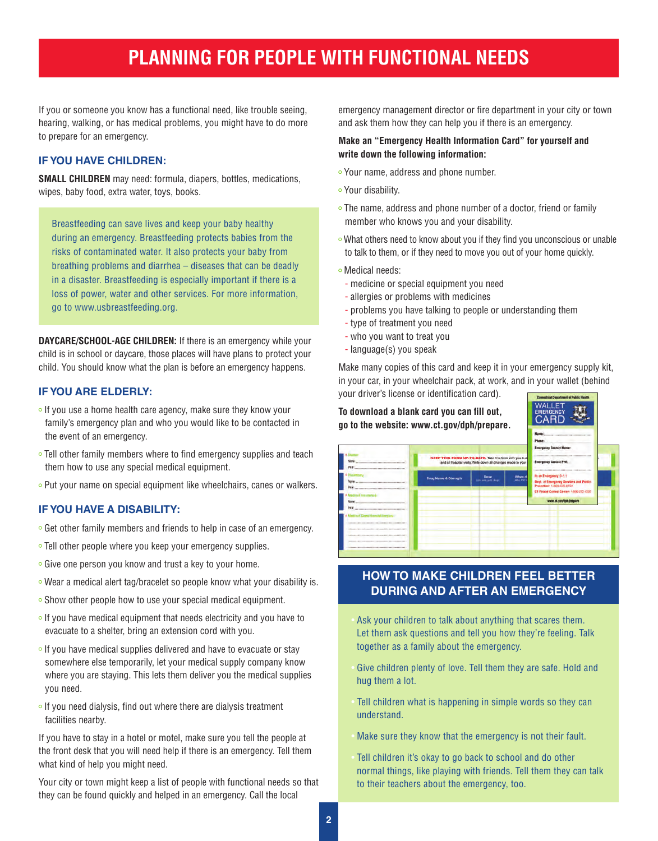## **PLANNING FOR PEOPLE WITH FUNCTIONAL NEEDS**

If you or someone you know has a functional need, like trouble seeing, hearing, walking, or has medical problems, you might have to do more to prepare for an emergency.

#### **IF YOU HAVE CHILDREN:**

**SMALL CHILDREN** may need: formula, diapers, bottles, medications, wipes, baby food, extra water, toys, books.

Breastfeeding can save lives and keep your baby healthy during an emergency. Breastfeeding protects babies from the risks of contaminated water. It also protects your baby from breathing problems and diarrhea – diseases that can be deadly in a disaster. Breastfeeding is especially important if there is a loss of power, water and other services. For more information, go to www.usbreastfeeding.org.

**DAYCARE/SCHOOL-AGE CHILDREN:** If there is an emergency while your child is in school or daycare, those places will have plans to protect your child. You should know what the plan is before an emergency happens.

#### **IF YOU ARE ELDERLY:**

- o If you use a home health care agency, make sure they know your family's emergency plan and who you would like to be contacted in the event of an emergency.
- Tell other family members where to find emergency supplies and teach them how to use any special medical equipment.
- Put your name on special equipment like wheelchairs, canes or walkers.

#### **IF YOU HAVE A DISABILITY:**

- Get other family members and friends to help in case of an emergency.
- Tell other people where you keep your emergency supplies.
- Give one person you know and trust a key to your home.
- Wear a medical alert tag/bracelet so people know what your disability is.
- Show other people how to use your special medical equipment.
- $\circ$  If you have medical equipment that needs electricity and you have to evacuate to a shelter, bring an extension cord with you.
- $\circ$  If you have medical supplies delivered and have to evacuate or stay somewhere else temporarily, let your medical supply company know where you are staying. This lets them deliver you the medical supplies you need.
- o If you need dialysis, find out where there are dialysis treatment facilities nearby.

If you have to stay in a hotel or motel, make sure you tell the people at the front desk that you will need help if there is an emergency. Tell them what kind of help you might need.

Your city or town might keep a list of people with functional needs so that they can be found quickly and helped in an emergency. Call the local

emergency management director or fire department in your city or town and ask them how they can help you if there is an emergency.

#### **Make an "Emergency Health Information Card" for yourself and write down the following information:**

- o Your name, address and phone number.
- Your disability.
- The name, address and phone number of a doctor, friend or family member who knows you and your disability.
- What others need to know about you if they find you unconscious or unable to talk to them, or if they need to move you out of your home quickly.
- Medical needs:
- medicine or special equipment you need
- allergies or problems with medicines
- problems you have talking to people or understanding them
- type of treatment you need
- who you want to treat you
- language(s) you speak

Make many copies of this card and keep it in your emergency supply kit, in your car, in your wheelchair pack, at work, and in your wallet (behind your driver's license or identification card).



#### **HOW TO MAKE CHILDREN FEEL BETTER DURING AND AFTER AN EMERGENCY**

- Ask your children to talk about anything that scares them. Let them ask questions and tell you how they're feeling. Talk together as a family about the emergency.
- Give children plenty of love. Tell them they are safe. Hold and hug them a lot.
- Tell children what is happening in simple words so they can understand.
- Make sure they know that the emergency is not their fault.
- Tell children it's okay to go back to school and do other normal things, like playing with friends. Tell them they can talk to their teachers about the emergency, too.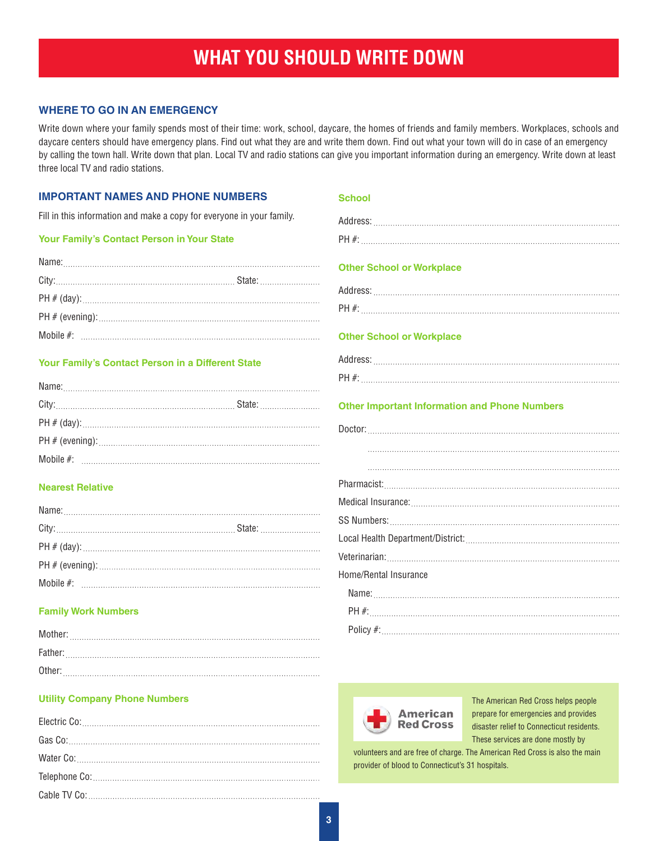## **WHAT YOU SHOULD WRITE DOWN**

#### **WHERE TO GO IN AN EMERGENCY**

Write down where your family spends most of their time: work, school, daycare, the homes of friends and family members. Workplaces, schools and daycare centers should have emergency plans. Find out what they are and write them down. Find out what your town will do in case of an emergency by calling the town hall. Write down that plan. Local TV and radio stations can give you important information during an emergency. Write down at least three local TV and radio stations.

| <b>IMPORTANT NAMES AND PHONE NUMBERS</b>                              | <b>School</b>                                                                                                                |
|-----------------------------------------------------------------------|------------------------------------------------------------------------------------------------------------------------------|
| Fill in this information and make a copy for everyone in your family. |                                                                                                                              |
| Your Family's Contact Person in Your State                            |                                                                                                                              |
| Your Family's Contact Person in a Different State                     | <b>Other School or Workplace</b><br><b>Other School or Workplace</b><br><b>Other Important Information and Phone Numbers</b> |
| <b>Nearest Relative</b>                                               |                                                                                                                              |
|                                                                       |                                                                                                                              |
|                                                                       |                                                                                                                              |
|                                                                       |                                                                                                                              |
|                                                                       |                                                                                                                              |
|                                                                       | Home/Rental Insurance                                                                                                        |
| <b>Family Work Numbers</b>                                            |                                                                                                                              |
|                                                                       |                                                                                                                              |
|                                                                       |                                                                                                                              |

#### **Utility Company Phone Numbers**

| Gas Co: |
|---------|
|         |
|         |
|         |

Other:

volunteers and are free of charge. The American Red Cross is also the main provider of blood to Connecticut's 31 hospitals.

**American Red Cross**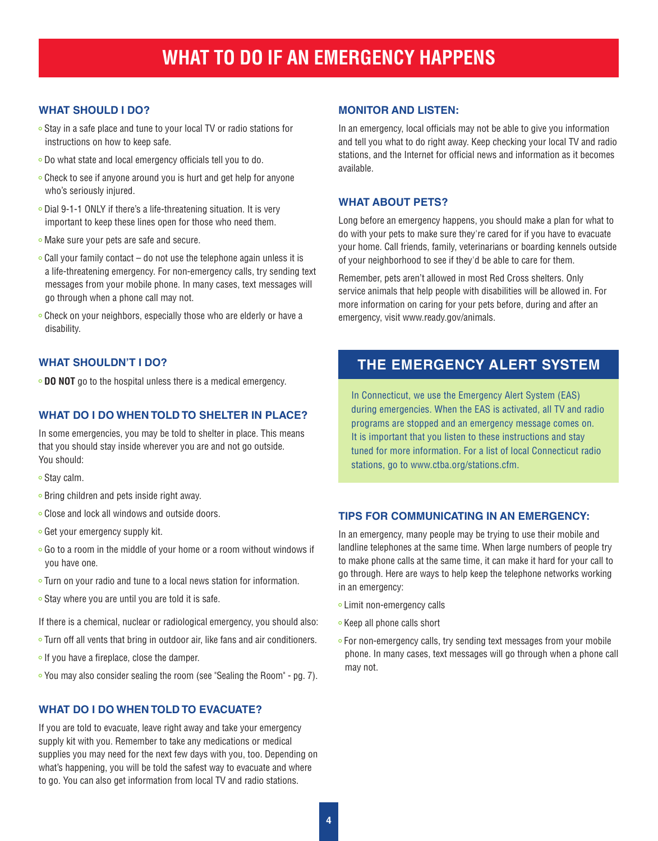#### **WHAT SHOULD I DO?**

- Stay in a safe place and tune to your local TV or radio stations for instructions on how to keep safe.
- Do what state and local emergency officials tell you to do.
- Check to see if anyone around you is hurt and get help for anyone who's seriously injured.
- Dial 9-1-1 ONLY if there's a life-threatening situation. It is very important to keep these lines open for those who need them.
- Make sure your pets are safe and secure.
- $\circ$  Call your family contact do not use the telephone again unless it is a life-threatening emergency. For non-emergency calls, try sending text messages from your mobile phone. In many cases, text messages will go through when a phone call may not.
- Check on your neighbors, especially those who are elderly or have a disability.

#### **WHAT SHOULDN'T I DO?**

**DO NOT** go to the hospital unless there is a medical emergency.

#### **WHAT DO I DO WHEN TOLD TO SHELTER IN PLACE?**

In some emergencies, you may be told to shelter in place. This means that you should stay inside wherever you are and not go outside. You should:

- Stay calm.
- $\circ$  Bring children and pets inside right away.
- Close and lock all windows and outside doors.
- Get your emergency supply kit.
- Go to a room in the middle of your home or a room without windows if you have one.
- Turn on your radio and tune to a local news station for information.
- $\circ$  Stay where you are until you are told it is safe.
- If there is a chemical, nuclear or radiological emergency, you should also:
- Turn off all vents that bring in outdoor air, like fans and air conditioners.
- o If you have a fireplace, close the damper.
- You may also consider sealing the room (see "Sealing the Room" pg. 7).

#### **WHAT DO I DO WHEN TOLD TO EVACUATE?**

If you are told to evacuate, leave right away and take your emergency supply kit with you. Remember to take any medications or medical supplies you may need for the next few days with you, too. Depending on what's happening, you will be told the safest way to evacuate and where to go. You can also get information from local TV and radio stations.

#### **MONITOR AND LISTEN:**

In an emergency, local officials may not be able to give you information and tell you what to do right away. Keep checking your local TV and radio stations, and the Internet for official news and information as it becomes available.

#### **WHAT ABOUT PETS?**

Long before an emergency happens, you should make a plan for what to do with your pets to make sure they're cared for if you have to evacuate your home. Call friends, family, veterinarians or boarding kennels outside of your neighborhood to see if they'd be able to care for them.

Remember, pets aren't allowed in most Red Cross shelters. Only service animals that help people with disabilities will be allowed in. For more information on caring for your pets before, during and after an emergency, visit www.ready.gov/animals.

### **THE EMERGENCY ALERT SYSTEM**

In Connecticut, we use the Emergency Alert System (EAS) during emergencies. When the EAS is activated, all TV and radio programs are stopped and an emergency message comes on. It is important that you listen to these instructions and stay tuned for more information. For a list of local Connecticut radio stations, go to www.ctba.org/stations.cfm.

#### **TIPS FOR COMMUNICATING IN AN EMERGENCY:**

In an emergency, many people may be trying to use their mobile and landline telephones at the same time. When large numbers of people try to make phone calls at the same time, it can make it hard for your call to go through. Here are ways to help keep the telephone networks working in an emergency:

- **Limit non-emergency calls**
- Keep all phone calls short
- For non-emergency calls, try sending text messages from your mobile phone. In many cases, text messages will go through when a phone call may not.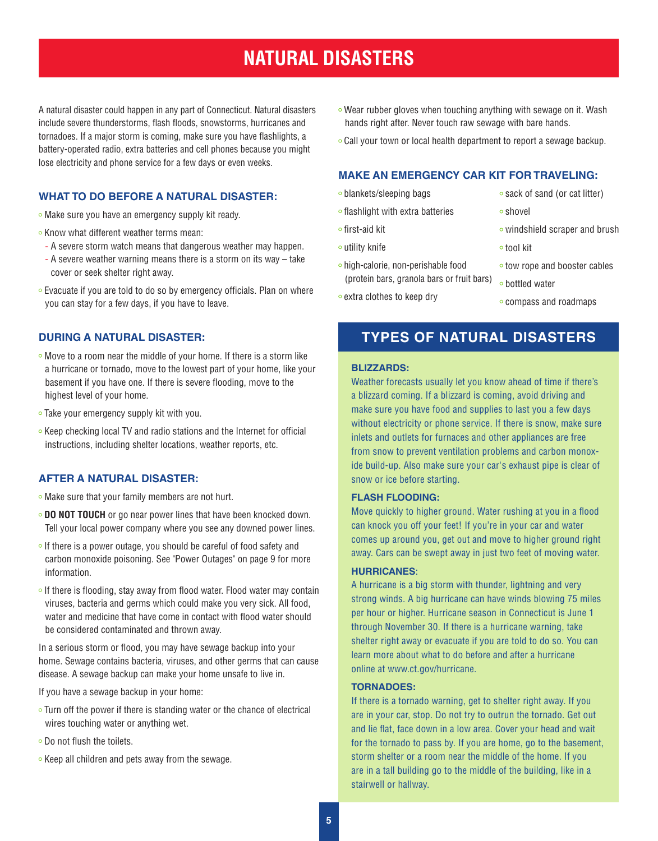## **NATURAL DISASTERS**

A natural disaster could happen in any part of Connecticut. Natural disasters include severe thunderstorms, flash floods, snowstorms, hurricanes and tornadoes. If a major storm is coming, make sure you have flashlights, a battery-operated radio, extra batteries and cell phones because you might lose electricity and phone service for a few days or even weeks.

#### **WHAT TO DO BEFORE A NATURAL DISASTER:**

• Make sure you have an emergency supply kit ready.

- $\circ$  Know what different weather terms mean:
- A severe storm watch means that dangerous weather may happen.
- A severe weather warning means there is a storm on its way take cover or seek shelter right away.
- Evacuate if you are told to do so by emergency officials. Plan on where you can stay for a few days, if you have to leave.

#### **DURING A NATURAL DISASTER:**

- Move to a room near the middle of your home. If there is a storm like a hurricane or tornado, move to the lowest part of your home, like your basement if you have one. If there is severe flooding, move to the highest level of your home.
- Take your emergency supply kit with you.
- Keep checking local TV and radio stations and the Internet for official instructions, including shelter locations, weather reports, etc.

#### **AFTER A NATURAL DISASTER:**

- Make sure that your family members are not hurt.
- **DO NOT TOUCH** or go near power lines that have been knocked down. Tell your local power company where you see any downed power lines.
- $\circ$  If there is a power outage, you should be careful of food safety and carbon monoxide poisoning. See "Power Outages" on page 9 for more information.
- $\circ$  If there is flooding, stay away from flood water. Flood water may contain viruses, bacteria and germs which could make you very sick. All food, water and medicine that have come in contact with flood water should be considered contaminated and thrown away.

In a serious storm or flood, you may have sewage backup into your home. Sewage contains bacteria, viruses, and other germs that can cause disease. A sewage backup can make your home unsafe to live in.

If you have a sewage backup in your home:

- Turn off the power if there is standing water or the chance of electrical wires touching water or anything wet.
- Do not flush the toilets.
- $\circ$  Keep all children and pets away from the sewage.
- Wear rubber gloves when touching anything with sewage on it. Wash hands right after. Never touch raw sewage with bare hands.
- Call your town or local health department to report a sewage backup.

#### **MAKE AN EMERGENCY CAR KIT FOR TRAVELING:**

- blankets/sleeping bags
- o flashlight with extra batteries
- first-aid kit
- utility knife
- high-calorie, non-perishable food (protein bars, granola bars or fruit bars)
- sack of sand (or cat litter)
- shovel
- windshield scraper and brush
- tool kit
- o tow rope and booster cables
- bottled water
- compass and roadmaps

#### **TYPES OF NATURAL DISASTERS**

#### **BLIZZARDS:**

• extra clothes to keep dry

Weather forecasts usually let you know ahead of time if there's a blizzard coming. If a blizzard is coming, avoid driving and make sure you have food and supplies to last you a few days without electricity or phone service. If there is snow, make sure inlets and outlets for furnaces and other appliances are free from snow to prevent ventilation problems and carbon monoxide build-up. Also make sure your car's exhaust pipe is clear of snow or ice before starting.

#### **FLASH FLOODING:**

Move quickly to higher ground. Water rushing at you in a flood can knock you off your feet! If you're in your car and water comes up around you, get out and move to higher ground right away. Cars can be swept away in just two feet of moving water.

#### **HURRICANES**:

A hurricane is a big storm with thunder, lightning and very strong winds. A big hurricane can have winds blowing 75 miles per hour or higher. Hurricane season in Connecticut is June 1 through November 30. If there is a hurricane warning, take shelter right away or evacuate if you are told to do so. You can learn more about what to do before and after a hurricane online at www.ct.gov/hurricane.

#### **TORNADOES:**

If there is a tornado warning, get to shelter right away. If you are in your car, stop. Do not try to outrun the tornado. Get out and lie flat, face down in a low area. Cover your head and wait for the tornado to pass by. If you are home, go to the basement, storm shelter or a room near the middle of the home. If you are in a tall building go to the middle of the building, like in a stairwell or hallway.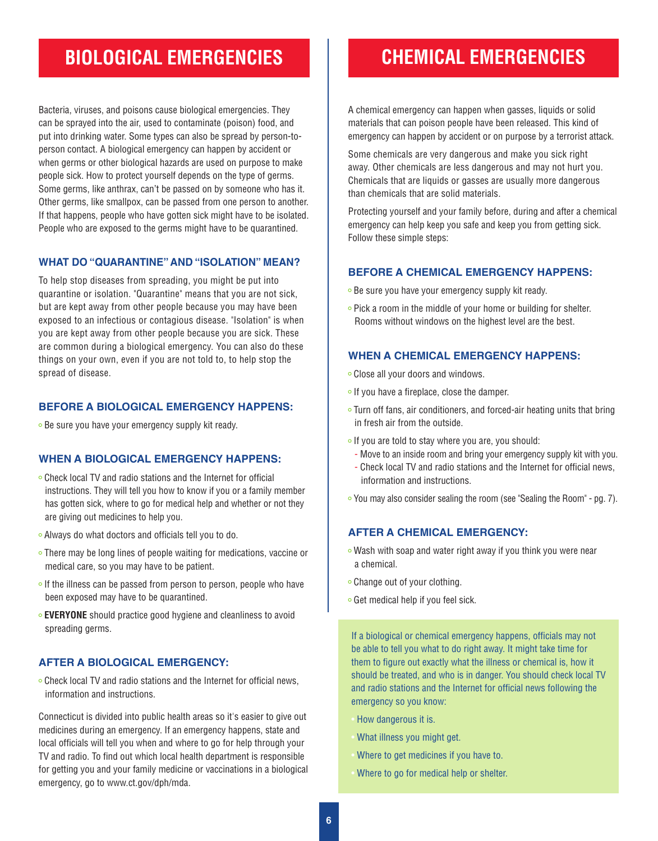## **BIOLOGICAL EMERGENCIES CHEMICAL EMERGENCIES**

Bacteria, viruses, and poisons cause biological emergencies. They can be sprayed into the air, used to contaminate (poison) food, and put into drinking water. Some types can also be spread by person-toperson contact. A biological emergency can happen by accident or when germs or other biological hazards are used on purpose to make people sick. How to protect yourself depends on the type of germs. Some germs, like anthrax, can't be passed on by someone who has it. Other germs, like smallpox, can be passed from one person to another. If that happens, people who have gotten sick might have to be isolated. People who are exposed to the germs might have to be quarantined.

#### **WHAT DO "QUARANTINE" AND "ISOLATION" MEAN?**

To help stop diseases from spreading, you might be put into quarantine or isolation. "Quarantine" means that you are not sick, but are kept away from other people because you may have been exposed to an infectious or contagious disease. "Isolation" is when you are kept away from other people because you are sick. These are common during a biological emergency. You can also do these things on your own, even if you are not told to, to help stop the spread of disease.

#### **BEFORE A BIOLOGICAL EMERGENCY HAPPENS:**

**Be sure you have your emergency supply kit ready.** 

#### **WHEN A BIOLOGICAL EMERGENCY HAPPENS:**

- Check local TV and radio stations and the Internet for official instructions. They will tell you how to know if you or a family member has gotten sick, where to go for medical help and whether or not they are giving out medicines to help you.
- Always do what doctors and officials tell you to do.
- There may be long lines of people waiting for medications, vaccine or medical care, so you may have to be patient.
- $\circ$  If the illness can be passed from person to person, people who have been exposed may have to be quarantined.
- **EVERYONE** should practice good hygiene and cleanliness to avoid spreading germs.

#### **AFTER A BIOLOGICAL EMERGENCY:**

Check local TV and radio stations and the Internet for official news, information and instructions.

Connecticut is divided into public health areas so it's easier to give out medicines during an emergency. If an emergency happens, state and local officials will tell you when and where to go for help through your TV and radio. To find out which local health department is responsible for getting you and your family medicine or vaccinations in a biological emergency, go to www.ct.gov/dph/mda.

A chemical emergency can happen when gasses, liquids or solid materials that can poison people have been released. This kind of emergency can happen by accident or on purpose by a terrorist attack.

Some chemicals are very dangerous and make you sick right away. Other chemicals are less dangerous and may not hurt you. Chemicals that are liquids or gasses are usually more dangerous than chemicals that are solid materials.

Protecting yourself and your family before, during and after a chemical emergency can help keep you safe and keep you from getting sick. Follow these simple steps:

#### **BEFORE A CHEMICAL EMERGENCY HAPPENS:**

- **Be sure you have your emergency supply kit ready.**
- Pick a room in the middle of your home or building for shelter. Rooms without windows on the highest level are the best.

#### **WHEN A CHEMICAL EMERGENCY HAPPENS:**

- Close all your doors and windows.
- $\circ$  If you have a fireplace, close the damper.
- Turn off fans, air conditioners, and forced-air heating units that bring in fresh air from the outside.
- o If you are told to stay where you are, you should:
	- Move to an inside room and bring your emergency supply kit with you.
- Check local TV and radio stations and the Internet for official news, information and instructions.
- You may also consider sealing the room (see "Sealing the Room" pg. 7).

#### **AFTER A CHEMICAL EMERGENCY:**

- Wash with soap and water right away if you think you were near a chemical.
- Change out of your clothing.
- Get medical help if you feel sick.

If a biological or chemical emergency happens, officials may not be able to tell you what to do right away. It might take time for them to figure out exactly what the illness or chemical is, how it should be treated, and who is in danger. You should check local TV and radio stations and the Internet for official news following the emergency so you know:

- How dangerous it is.
- What illness you might get.
- Where to get medicines if you have to.
- Where to go for medical help or shelter.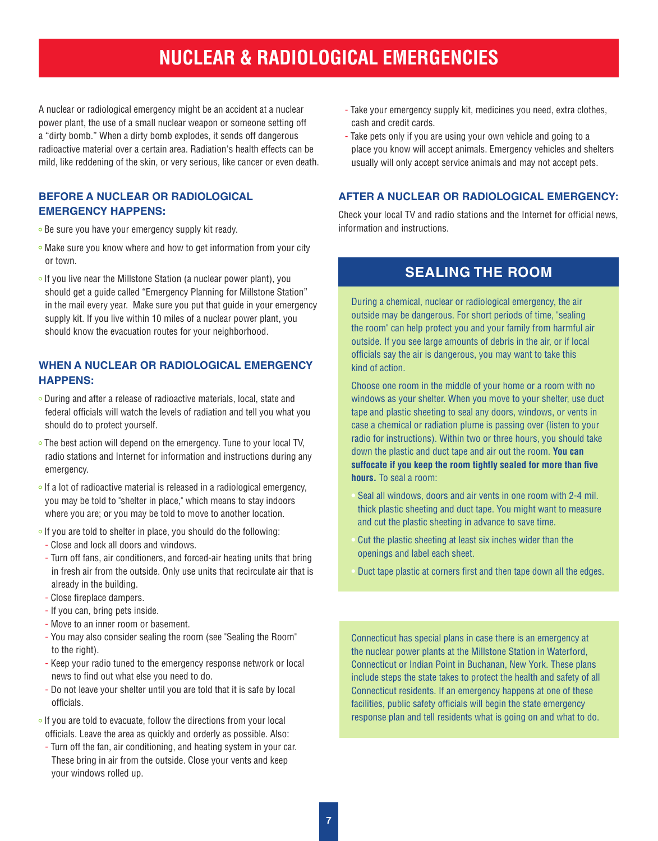## **NUCLEAR & RADIOLOGICAL EMERGENCIES**

A nuclear or radiological emergency might be an accident at a nuclear power plant, the use of a small nuclear weapon or someone setting off a "dirty bomb." When a dirty bomb explodes, it sends off dangerous radioactive material over a certain area. Radiation's health effects can be mild, like reddening of the skin, or very serious, like cancer or even death.

#### **BEFORE A NUCLEAR OR RADIOLOGICAL EMERGENCY HAPPENS:**

- **Be sure you have your emergency supply kit ready.**
- o Make sure you know where and how to get information from your city or town.
- $\circ$  If you live near the Millstone Station (a nuclear power plant), you should get a guide called "Emergency Planning for Millstone Station" in the mail every year. Make sure you put that guide in your emergency supply kit. If you live within 10 miles of a nuclear power plant, you should know the evacuation routes for your neighborhood.

#### **WHEN A NUCLEAR OR RADIOLOGICAL EMERGENCY HAPPENS:**

- During and after a release of radioactive materials, local, state and federal officials will watch the levels of radiation and tell you what you should do to protect yourself.
- The best action will depend on the emergency. Tune to your local TV, radio stations and Internet for information and instructions during any emergency.
- $\circ$  If a lot of radioactive material is released in a radiological emergency, you may be told to "shelter in place," which means to stay indoors where you are; or you may be told to move to another location.
- $\circ$  If you are told to shelter in place, you should do the following:
- Close and lock all doors and windows.
- Turn off fans, air conditioners, and forced-air heating units that bring in fresh air from the outside. Only use units that recirculate air that is already in the building.
- Close fireplace dampers.
- If you can, bring pets inside.
- Move to an inner room or basement.
- You may also consider sealing the room (see "Sealing the Room" to the right).
- Keep your radio tuned to the emergency response network or local news to find out what else you need to do.
- Do not leave your shelter until you are told that it is safe by local officials.
- $\circ$  If you are told to evacuate, follow the directions from your local officials. Leave the area as quickly and orderly as possible. Also:
- Turn off the fan, air conditioning, and heating system in your car. These bring in air from the outside. Close your vents and keep your windows rolled up.
- Take your emergency supply kit, medicines you need, extra clothes, cash and credit cards.
- Take pets only if you are using your own vehicle and going to a place you know will accept animals. Emergency vehicles and shelters usually will only accept service animals and may not accept pets.

#### **AFTER A NUCLEAR OR RADIOLOGICAL EMERGENCY:**

Check your local TV and radio stations and the Internet for official news, information and instructions.

#### **SEALING THE ROOM**

During a chemical, nuclear or radiological emergency, the air outside may be dangerous. For short periods of time, "sealing the room" can help protect you and your family from harmful air outside. If you see large amounts of debris in the air, or if local officials say the air is dangerous, you may want to take this kind of action.

Choose one room in the middle of your home or a room with no windows as your shelter. When you move to your shelter, use duct tape and plastic sheeting to seal any doors, windows, or vents in case a chemical or radiation plume is passing over (listen to your radio for instructions). Within two or three hours, you should take down the plastic and duct tape and air out the room. **You can suffocate if you keep the room tightly sealed for more than five hours.** To seal a room:

- Seal all windows, doors and air vents in one room with 2-4 mil. thick plastic sheeting and duct tape. You might want to measure and cut the plastic sheeting in advance to save time.
- Cut the plastic sheeting at least six inches wider than the openings and label each sheet.
- Duct tape plastic at corners first and then tape down all the edges.

Connecticut has special plans in case there is an emergency at the nuclear power plants at the Millstone Station in Waterford, Connecticut or Indian Point in Buchanan, New York. These plans include steps the state takes to protect the health and safety of all Connecticut residents. If an emergency happens at one of these facilities, public safety officials will begin the state emergency response plan and tell residents what is going on and what to do.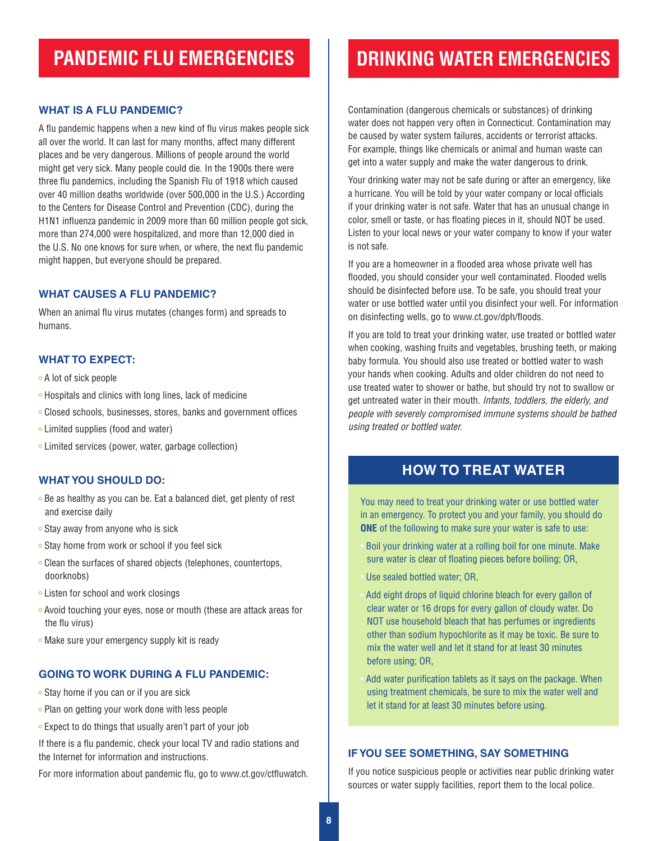## **PANDEMIC FLU EMERGENCIES**

#### **WHAT IS A FLU PANDEMIC?**

A flu pandemic happens when a new kind of flu virus makes people sick all over the world. It can last for many months, affect many different places and be very dangerous. Millions of people around the world might get very sick. Many people could die. In the 1900s there were three flu pandemics, including the Spanish Flu of 1918 which caused over 40 million deaths worldwide (over 500,000 in the U.S.) According to the Centers for Disease Control and Prevention (CDC), during the H1N1 influenza pandemic in 2009 more than 60 million people got sick, more than 274,000 were hospitalized, and more than 12,000 died in the U.S. No one knows for sure when, or where, the next flu pandemic might happen, but everyone should be prepared.

#### **WHAT CAUSES A FLU PANDEMIC?**

When an animal flu virus mutates (changes form) and spreads to humans.

#### **WHAT TO EXPECT:**

A lot of sick people

- Hospitals and clinics with long lines, lack of medicine
- Closed schools, businesses, stores, banks and government offices
- Limited supplies (food and water)
- Limited services (power, water, garbage collection)

#### **WHAT YOU SHOULD DO:**

- Be as healthy as you can be. Eat a balanced diet, get plenty of rest and exercise daily
- $\circ$  Stay away from anyone who is sick
- Stay home from work or school if you feel sick
- Clean the surfaces of shared objects (telephones, countertops, doorknobs)
- Listen for school and work closings
- Avoid touching your eyes, nose or mouth (these are attack areas for the flu virus)
- o Make sure your emergency supply kit is ready

#### **GOING TO WORK DURING A FLU PANDEMIC:**

- Stay home if you can or if you are sick
- Plan on getting your work done with less people
- Expect to do things that usually aren't part of your job

If there is a flu pandemic, check your local TV and radio stations and the Internet for information and instructions.

For more information about pandemic flu, go to www.ct.gov/ctfluwatch.

## **DRINKING WATER EMERGENCIES**

Contamination (dangerous chemicals or substances) of drinking water does not happen very often in Connecticut. Contamination may be caused by water system failures, accidents or terrorist attacks. For example, things like chemicals or animal and human waste can get into a water supply and make the water dangerous to drink.

Your drinking water may not be safe during or after an emergency, like a hurricane. You will be told by your water company or local officials if your drinking water is not safe. Water that has an unusual change in color, smell or taste, or has floating pieces in it, should NOT be used. Listen to your local news or your water company to know if your water is not safe.

If you are a homeowner in a flooded area whose private well has flooded, you should consider your well contaminated. Flooded wells should be disinfected before use. To be safe, you should treat your water or use bottled water until you disinfect your well. For information on disinfecting wells, go to www.ct.gov/dph/floods.

If you are told to treat your drinking water, use treated or bottled water when cooking, washing fruits and vegetables, brushing teeth, or making baby formula. You should also use treated or bottled water to wash your hands when cooking. Adults and older children do not need to use treated water to shower or bathe, but should try not to swallow or get untreated water in their mouth. *Infants, toddlers, the elderly, and people with severely compromised immune systems should be bathed using treated or bottled water.*

#### **HOW TO TREAT WATER**

You may need to treat your drinking water or use bottled water in an emergency. To protect you and your family, you should do **ONE** of the following to make sure your water is safe to use:

- Boil your drinking water at a rolling boil for one minute. Make sure water is clear of floating pieces before boiling; OR,
- Use sealed bottled water; OR,
- Add eight drops of liquid chlorine bleach for every gallon of clear water or 16 drops for every gallon of cloudy water. Do NOT use household bleach that has perfumes or ingredients other than sodium hypochlorite as it may be toxic. Be sure to mix the water well and let it stand for at least 30 minutes before using; OR,
- Add water purification tablets as it says on the package. When using treatment chemicals, be sure to mix the water well and let it stand for at least 30 minutes before using.

#### **IF YOU SEE SOMETHING, SAY SOMETHING**

If you notice suspicious people or activities near public drinking water sources or water supply facilities, report them to the local police.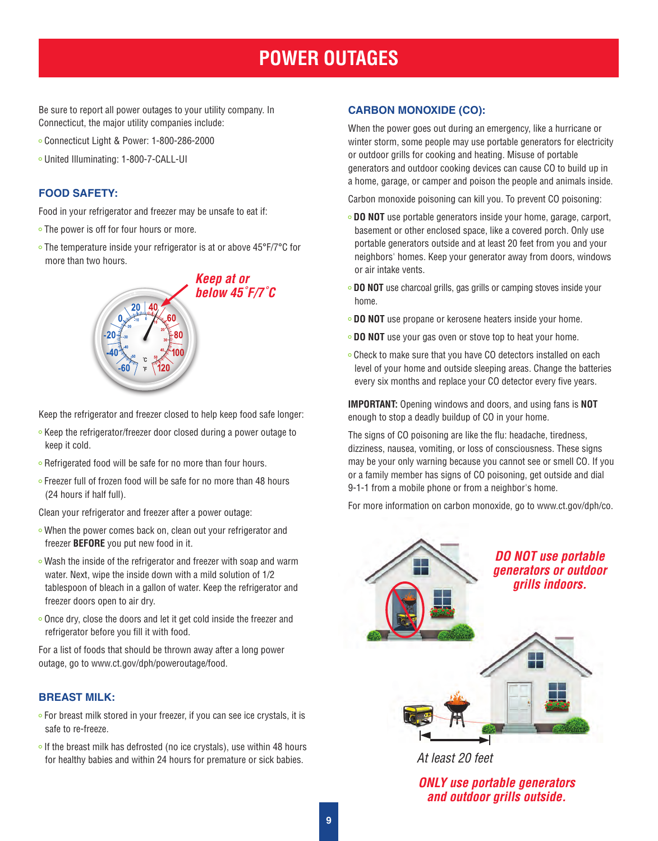## **POWER OUTAGES**

Be sure to report all power outages to your utility company. In Connecticut, the major utility companies include:

- Connecticut Light & Power: 1-800-286-2000
- United Illuminating: 1-800-7-CALL-UI

#### **FOOD SAFETY:**

Food in your refrigerator and freezer may be unsafe to eat if:

• The power is off for four hours or more.

20

The temperature inside your refrigerator is at or above 45°F/7°C for more than two hours.

> *Keep at or below 45˚F/7˚C*

Keep the refrigerator and freezer closed to help keep food safe longer:

- Keep the refrigerator/freezer door closed during a power outage to keep it cold.
- Refrigerated food will be safe for no more than four hours.
- Freezer full of frozen food will be safe for no more than 48 hours (24 hours if half full).

Clean your refrigerator and freezer after a power outage:

- When the power comes back on, clean out your refrigerator and freezer **BEFORE** you put new food in it.
- Wash the inside of the refrigerator and freezer with soap and warm water. Next, wipe the inside down with a mild solution of 1/2 tablespoon of bleach in a gallon of water. Keep the refrigerator and freezer doors open to air dry.
- Once dry, close the doors and let it get cold inside the freezer and refrigerator before you fill it with food.

For a list of foods that should be thrown away after a long power outage, go to www.ct.gov/dph/poweroutage/food.

#### **BREAST MILK:**

- For breast milk stored in your freezer, if you can see ice crystals, it is safe to re-freeze.
- $\circ$  If the breast milk has defrosted (no ice crystals), use within 48 hours for healthy babies and within 24 hours for premature or sick babies.

#### **CARBON MONOXIDE (CO):**

When the power goes out during an emergency, like a hurricane or winter storm, some people may use portable generators for electricity or outdoor grills for cooking and heating. Misuse of portable generators and outdoor cooking devices can cause CO to build up in a home, garage, or camper and poison the people and animals inside.

Carbon monoxide poisoning can kill you. To prevent CO poisoning:

- **DO NOT** use portable generators inside your home, garage, carport, basement or other enclosed space, like a covered porch. Only use portable generators outside and at least 20 feet from you and your neighbors' homes. Keep your generator away from doors, windows or air intake vents.
- **DO NOT** use charcoal grills, gas grills or camping stoves inside your home.
- **DO NOT** use propane or kerosene heaters inside your home.
- **DO NOT** use your gas oven or stove top to heat your home.
- Check to make sure that you have CO detectors installed on each level of your home and outside sleeping areas. Change the batteries every six months and replace your CO detector every five years.

**IMPORTANT:** Opening windows and doors, and using fans is **NOT** enough to stop a deadly buildup of CO in your home.

The signs of CO poisoning are like the flu: headache, tiredness, dizziness, nausea, vomiting, or loss of consciousness. These signs may be your only warning because you cannot see or smell CO. If you or a family member has signs of CO poisoning, get outside and dial 9-1-1 from a mobile phone or from a neighbor's home.

For more information on carbon monoxide, go to www.ct.gov/dph/co.



*At least 20 feet*

*ONLY use portable generators and outdoor grills outside.*